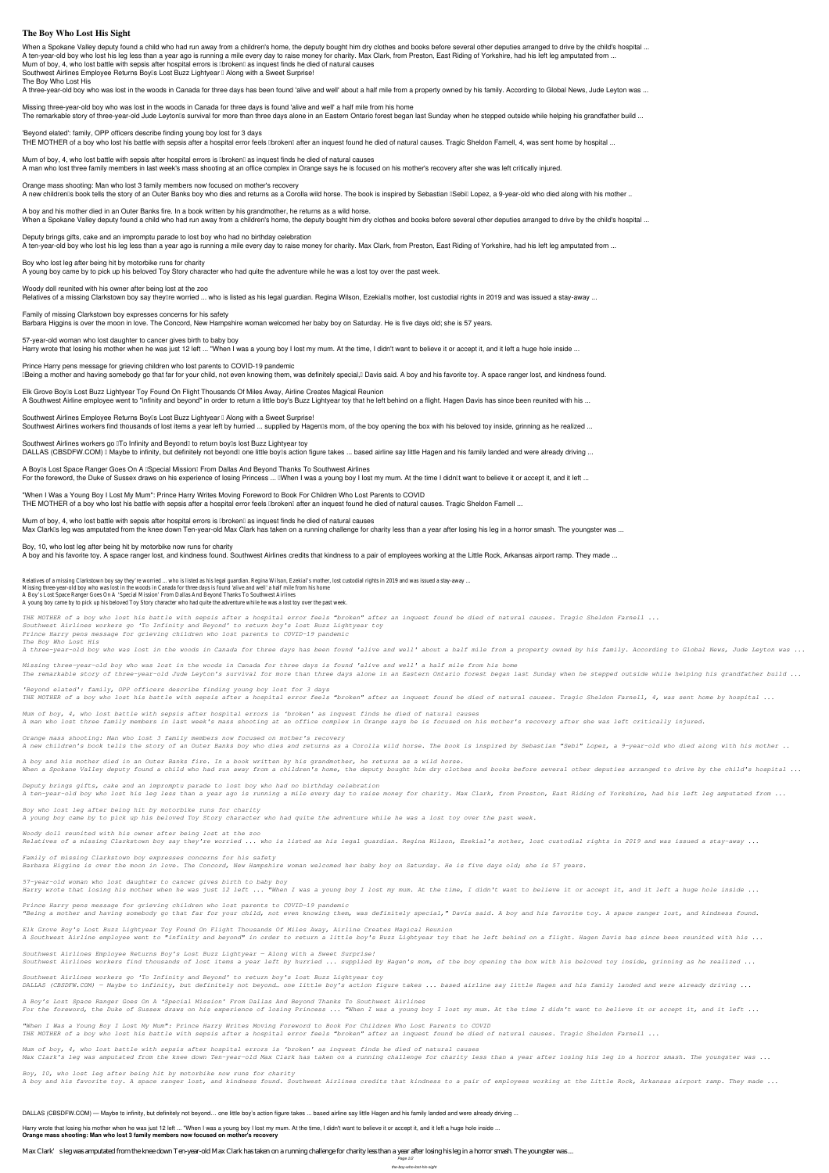## **The Boy Who Lost His Sight**

When a Spokane Valley deputy found a child who had run away from a children's home, the deputy bought him dry clothes and books before several other deputies arranged to drive by the child's hospital ... A ten-year-old boy who lost his leg less than a year ago is running a mile every day to raise money for charity. Max Clark, from Preston, East Riding of Yorkshire, had his left leg amputated from ... Mum of boy, 4, who lost battle with sepsis after hospital errors is **Donalder as inquest finds he died of natural causes** Southwest Airlines Employee Returns Boy<sup>[]</sup> Lost Buzz Lightyear <sup>[]</sup> Along with a Sweet Surprise!

**Missing three-year-old boy who was lost in the woods in Canada for three days is found 'alive and well' a half mile from his home** The remarkable story of three-year-old Jude Leyton<sup>'</sup>s survival for more than three days alone in an Eastern Ontario forest began last Sunday when he stepped outside while helping his grandfather build ...

**The Boy Who Lost His**

A three-year-old boy who was lost in the woods in Canada for three days has been found 'alive and well' about a half mile from a property owned by his family. According to Global News, Jude Leyton was ...

**A boy and his mother died in an Outer Banks fire. In a book written by his grandmother, he returns as a wild horse.** When a Spokane Valley deputy found a child who had run away from a children's home, the deputy bought him dry clothes and books before several other deputies arranged to drive by the child's hospital ...

**'Beyond elated': family, OPP officers describe finding young boy lost for 3 days**

THE MOTHER of a boy who lost his battle with sepsis after a hospital error feels **Ibroken** after an inquest found he died of natural causes. Tragic Sheldon Farnell, 4, was sent home by hospital ...

**Mum of boy, 4, who lost battle with sepsis after hospital errors is 'broken' as inquest finds he died of natural causes** A man who lost three family members in last week's mass shooting at an office complex in Orange says he is focused on his mother's recovery after she was left critically injured.

**Orange mass shooting: Man who lost 3 family members now focused on mother's recovery**

A new children<sup>®</sup>s book tells the story of an Outer Banks boy who dies and returns as a Corolla wild horse. The book is inspired by Sebastian <sup>[Sebi]</sup> Lopez, a 9-year-old who died along with his mother ..

**Deputy brings gifts, cake and an impromptu parade to lost boy who had no birthday celebration**

**"When I Was a Young Boy I Lost My Mum": Prince Harry Writes Moving Foreword to Book For Children Who Lost Parents to COVID** THE MOTHER of a boy who lost his battle with sepsis after a hospital error feels **Ibroken** after an inquest found he died of natural causes. Tragic Sheldon Farnell ...

A ten-year-old boy who lost his leg less than a year ago is running a mile every day to raise money for charity. Max Clark, from Preston, East Riding of Yorkshire, had his left leg amputated from ...

**Mum of boy, 4, who lost battle with sepsis after hospital errors is 'broken' as inquest finds he died of natural causes** Max Clark<sup>n</sup>s leg was amputated from the knee down Ten-year-old Max Clark has taken on a running challenge for charity less than a year after losing his leg in a horror smash. The youngster was ...

**Boy who lost leg after being hit by motorbike runs for charity** A young boy came by to pick up his beloved Toy Story character who had quite the adventure while he was a lost toy over the past week.

**Woody doll reunited with his owner after being lost at the zoo**

Relatives of a missing Clarkstown boy say theyllre worried ... who is listed as his legal guardian. Regina Wilson, Ezekiallls mother, lost custodial rights in 2019 and was issued a stay-away ...

**Family of missing Clarkstown boy expresses concerns for his safety**

Relatives of a missing Clarkstown boy say they're worried ... who is listed as his legal guardian. Regina Wilson, Ezekial's mother, lost custodial rights in 2019 and was issued a stay-away ... Missing three-year-old boy who was lost in the woods in Canada for three days is found 'alive and well' a half mile from his home A Boy's Lost Space Ranger Goes On A 'Special Mission' From Dallas And Beyond Thanks To Southwest Airlines A young boy came by to pick up his beloved Toy Story character who had quite the adventure while he was a lost toy over the past week.

Barbara Higgins is over the moon in love. The Concord, New Hampshire woman welcomed her baby boy on Saturday. He is five days old; she is 57 years.

**57-year-old woman who lost daughter to cancer gives birth to baby boy**

Harry wrote that losing his mother when he was just 12 left ... "When I was a young boy I lost my mum. At the time, I didn't want to believe it or accept it, and it left a huge hole inside ...

**Prince Harry pens message for grieving children who lost parents to COVID-19 pandemic**

Deing a mother and having somebody go that far for your child, not even knowing them, was definitely special, Davis said. A boy and his favorite toy. A space ranger lost, and kindness found.

**Elk Grove Boy's Lost Buzz Lightyear Toy Found On Flight Thousands Of Miles Away, Airline Creates Magical Reunion** A Southwest Airline employee went to "infinity and beyond" in order to return a little boy's Buzz Lightyear toy that he left behind on a flight. Hagen Davis has since been reunited with his ...

Southwest Airlines Employee Returns Boy<sup>[]</sup> Lost Buzz Lightyear <sup>[]</sup> Along with a Sweet Surprise!

Southwest Airlines workers find thousands of lost items a year left by hurried ... supplied by Hagen<sup>®</sup> mom, of the boy opening the box with his beloved toy inside, grinning as he realized ...

Southwest Airlines workers go **To Infinity and Beyond** to return boy is lost Buzz Lightyear toy

DALLAS (CBSDFW.COM) I Maybe to infinity, but definitely not beyond one little boy is action figure takes ... based airline say little Hagen and his family landed and were already driving ...

**A Boy's Lost Space Ranger Goes On A 'Special Mission' From Dallas And Beyond Thanks To Southwest Airlines**

For the foreword, the Duke of Sussex draws on his experience of losing Princess ... IWhen I was a young boy I lost my mum. At the time I didn<sup>'t</sup> want to believe it or accept it, and it left ...

**Boy, 10, who lost leg after being hit by motorbike now runs for charity**

A boy and his favorite toy. A space ranger lost, and kindness found. Southwest Airlines credits that kindness to a pair of employees working at the Little Rock, Arkansas airport ramp. They made ...

Harry wrote that losing his mother when he was just 12 left ... "When I was a young boy I lost my mum. At the time, I didn't want to believe it or accept it, and it left a huge hole inside ... **Orange mass shooting: Man who lost 3 family members now focused on mother's recovery**

Max Clark's leg was amputated from the knee down Ten-year-old Max Clark has taken on a running challenge for charity less than a year after losing his leg in a horror smash. The youngster was ...

*THE MOTHER of a boy who lost his battle with sepsis after a hospital error feels "broken" after an inquest found he died of natural causes. Tragic Sheldon Farnell ... Southwest Airlines workers go 'To Infinity and Beyond' to return boy's lost Buzz Lightyear toy Prince Harry pens message for grieving children who lost parents to COVID-19 pandemic The Boy Who Lost His*

*A three-year-old boy who was lost in the woods in Canada for three days has been found 'alive and well' about a half mile from a property owned by his family. According to Global News, Jude Leyton was ...*

*Missing three-year-old boy who was lost in the woods in Canada for three days is found 'alive and well' a half mile from his home The remarkable story of three-year-old Jude Leyton's survival for more than three days alone in an Eastern Ontario forest began last Sunday when he stepped outside while helping his grandfather build ...*

*'Beyond elated': family, OPP officers describe finding young boy lost for 3 days THE MOTHER of a boy who lost his battle with sepsis after a hospital error feels "broken" after an inquest found he died of natural causes. Tragic Sheldon Farnell, 4, was sent home by hospital ...*

*Mum of boy, 4, who lost battle with sepsis after hospital errors is 'broken' as inquest finds he died of natural causes A man who lost three family members in last week's mass shooting at an office complex in Orange says he is focused on his mother's recovery after she was left critically injured.*

*Orange mass shooting: Man who lost 3 family members now focused on mother's recovery A new children's book tells the story of an Outer Banks boy who dies and returns as a Corolla wild horse. The book is inspired by Sebastian "Sebi" Lopez, a 9-year-old who died along with his mother ..*

*A boy and his mother died in an Outer Banks fire. In a book written by his grandmother, he returns as a wild horse. When a Spokane Valley deputy found a child who had run away from a children's home, the deputy bought him dry clothes and books before several other deputies arranged to drive by the child's hospital ...*

*Deputy brings gifts, cake and an impromptu parade to lost boy who had no birthday celebration A ten-year-old boy who lost his leg less than a year ago is running a mile every day to raise money for charity. Max Clark, from Preston, East Riding of Yorkshire, had his left leg amputated from ...*

*Boy who lost leg after being hit by motorbike runs for charity*

*A young boy came by to pick up his beloved Toy Story character who had quite the adventure while he was a lost toy over the past week.*

*Woody doll reunited with his owner after being lost at the zoo Relatives of a missing Clarkstown boy say they're worried ... who is listed as his legal guardian. Regina Wilson, Ezekial's mother, lost custodial rights in 2019 and was issued a stay-away ...*

*Family of missing Clarkstown boy expresses concerns for his safety Barbara Higgins is over the moon in love. The Concord, New Hampshire woman welcomed her baby boy on Saturday. He is five days old; she is 57 years.*

*57-year-old woman who lost daughter to cancer gives birth to baby boy*

*Harry wrote that losing his mother when he was just 12 left ... "When I was a young boy I lost my mum. At the time, I didn't want to believe it or accept it, and it left a huge hole inside ...*

*Prince Harry pens message for grieving children who lost parents to COVID-19 pandemic*

*"Being a mother and having somebody go that far for your child, not even knowing them, was definitely special," Davis said. A boy and his favorite toy. A space ranger lost, and kindness found.*

*Elk Grove Boy's Lost Buzz Lightyear Toy Found On Flight Thousands Of Miles Away, Airline Creates Magical Reunion*

*A Southwest Airline employee went to "infinity and beyond" in order to return a little boy's Buzz Lightyear toy that he left behind on a flight. Hagen Davis has since been reunited with his ...*

*Southwest Airlines Employee Returns Boy's Lost Buzz Lightyear — Along with a Sweet Surprise!*

*Southwest Airlines workers find thousands of lost items a year left by hurried ... supplied by Hagen's mom, of the boy opening the box with his beloved toy inside, grinning as he realized ...*

*Southwest Airlines workers go 'To Infinity and Beyond' to return boy's lost Buzz Lightyear toy*

*DALLAS (CBSDFW.COM) — Maybe to infinity, but definitely not beyond… one little boy's action figure takes ... based airline say little Hagen and his family landed and were already driving ...*

*A Boy's Lost Space Ranger Goes On A 'Special Mission' From Dallas And Beyond Thanks To Southwest Airlines*

*For the foreword, the Duke of Sussex draws on his experience of losing Princess ... "When I was a young boy I lost my mum. At the time I didn't want to believe it or accept it, and it left ...*

*"When I Was a Young Boy I Lost My Mum": Prince Harry Writes Moving Foreword to Book For Children Who Lost Parents to COVID THE MOTHER of a boy who lost his battle with sepsis after a hospital error feels "broken" after an inquest found he died of natural causes. Tragic Sheldon Farnell ...*

*Mum of boy, 4, who lost battle with sepsis after hospital errors is 'broken' as inquest finds he died of natural causes Max Clark's leg was amputated from the knee down Ten-year-old Max Clark has taken on a running challenge for charity less than a year after losing his leg in a horror smash. The youngster was ...*

*Boy, 10, who lost leg after being hit by motorbike now runs for charity*

*A boy and his favorite toy. A space ranger lost, and kindness found. Southwest Airlines credits that kindness to a pair of employees working at the Little Rock, Arkansas airport ramp. They made ...*

DALLAS (CBSDFW.COM) — Maybe to infinity, but definitely not beyond... one little boy's action figure takes ... based airline say little Hagen and his family landed and were already driving ...

Page 1/2

the-boy-who-lost-his-sight